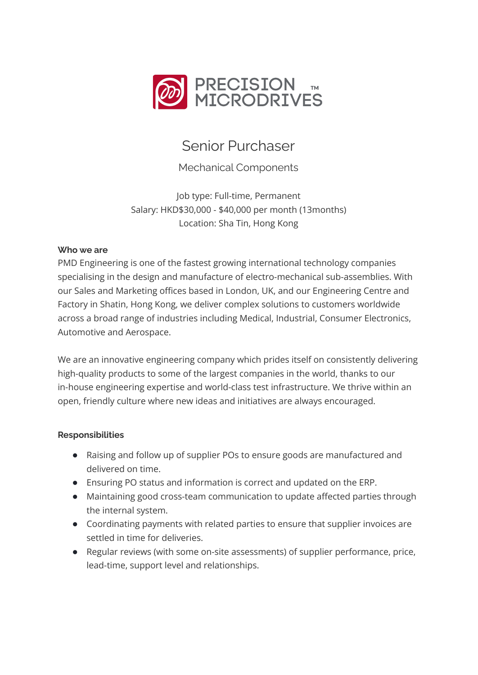

# Senior Purchaser

Mechanical Components

Job type: Full-time, Permanent Salary: HKD\$30,000 - \$40,000 per month (13months) Location: Sha Tin, Hong Kong

# **Who we are**

PMD Engineering is one of the fastest growing international technology companies specialising in the design and manufacture of electro-mechanical sub-assemblies. With our Sales and Marketing offices based in London, UK, and our Engineering Centre and Factory in Shatin, Hong Kong, we deliver complex solutions to customers worldwide across a broad range of industries including Medical, Industrial, Consumer Electronics, Automotive and Aerospace.

We are an innovative engineering company which prides itself on consistently delivering high-quality products to some of the largest companies in the world, thanks to our in-house engineering expertise and world-class test infrastructure. We thrive within an open, friendly culture where new ideas and initiatives are always encouraged.

# **Responsibilities**

- Raising and follow up of supplier POs to ensure goods are manufactured and delivered on time.
- Ensuring PO status and information is correct and updated on the ERP.
- Maintaining good cross-team communication to update affected parties through the internal system.
- Coordinating payments with related parties to ensure that supplier invoices are settled in time for deliveries.
- Regular reviews (with some on-site assessments) of supplier performance, price, lead-time, support level and relationships.